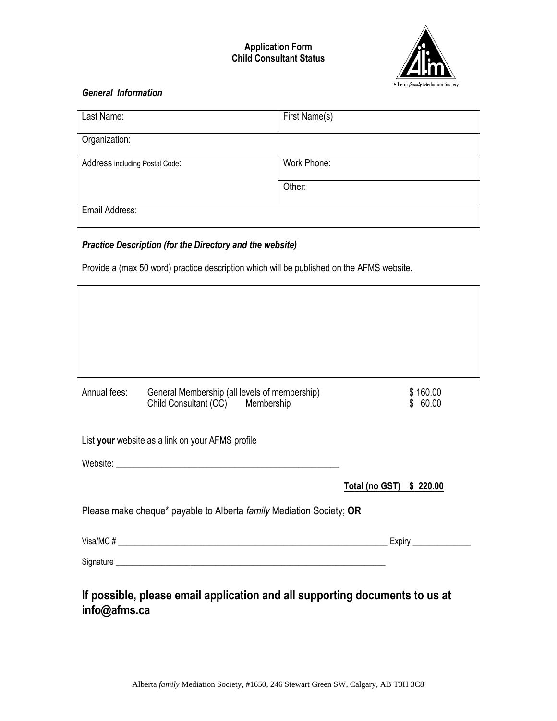#### **Application Form Child Consultant Status**



### *General Information*

 $\mathbf{r}$ 

| Last Name:                     | First Name(s) |  |
|--------------------------------|---------------|--|
| Organization:                  |               |  |
| Address including Postal Code: | Work Phone:   |  |
|                                | Other:        |  |
| Email Address:                 |               |  |

## *Practice Description (for the Directory and the website)*

Provide a (max 50 word) practice description which will be published on the AFMS website.

| Annual fees: | General Membership (all levels of membership)<br>Child Consultant (CC) Membership | \$160.00<br>\$60.00      |
|--------------|-----------------------------------------------------------------------------------|--------------------------|
|              | List your website as a link on your AFMS profile                                  |                          |
|              |                                                                                   |                          |
|              |                                                                                   | Total (no GST) \$ 220.00 |
|              | Please make cheque* payable to Alberta family Mediation Society; OR               |                          |
|              |                                                                                   |                          |
|              |                                                                                   |                          |

# **info@afms.ca**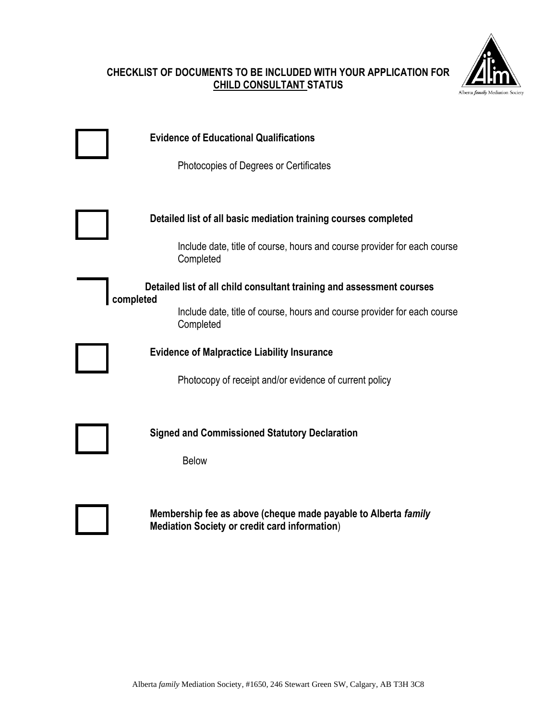### **CHECKLIST OF DOCUMENTS TO BE INCLUDED WITH YOUR APPLICATION FOR CHILD CONSULTANT STATUS**



|           | <b>Evidence of Educational Qualifications</b><br>Photocopies of Degrees or Certificates                                                                                                                                                                                                                       |
|-----------|---------------------------------------------------------------------------------------------------------------------------------------------------------------------------------------------------------------------------------------------------------------------------------------------------------------|
| completed | Detailed list of all basic mediation training courses completed<br>Include date, title of course, hours and course provider for each course<br>Completed<br>Detailed list of all child consultant training and assessment courses<br>Include date, title of course, hours and course provider for each course |
|           | Completed<br><b>Evidence of Malpractice Liability Insurance</b><br>Photocopy of receipt and/or evidence of current policy                                                                                                                                                                                     |
|           | <b>Signed and Commissioned Statutory Declaration</b><br><b>Below</b>                                                                                                                                                                                                                                          |
|           | Membership fee as above (cheque made payable to Alberta family<br><b>Mediation Society or credit card information)</b>                                                                                                                                                                                        |